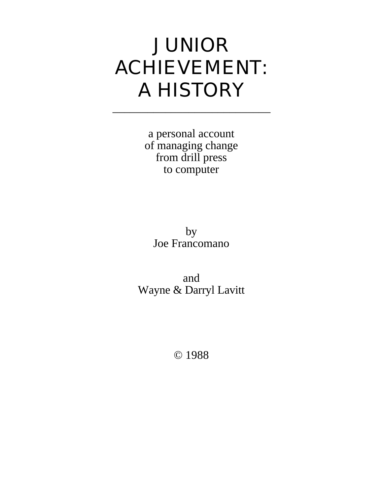# JUNIOR ACHIEVEMENT: A HISTORY

\_\_\_\_\_\_\_\_\_\_\_\_\_\_\_\_\_\_\_\_\_\_\_\_\_\_\_

a personal account of managing change from drill press to computer

by Joe Francomano

and Wayne & Darryl Lavitt

© 1988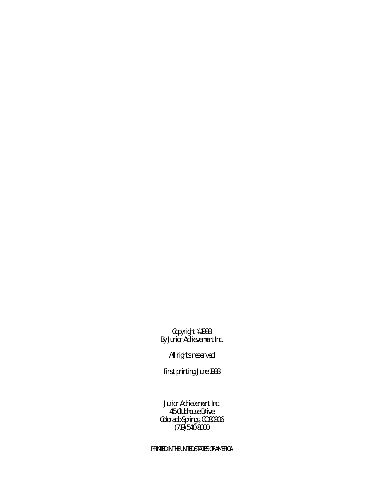Copyright © 1988 By Junior Achievement Inc.

All rights reserved

First printing, June 1988

Junior Achievement Inc. 45 Clubhouse Drive Colorado Springs, CO 80906 (719) 540-8000

PRINTED IN THE UNITED STATES OF AMERICA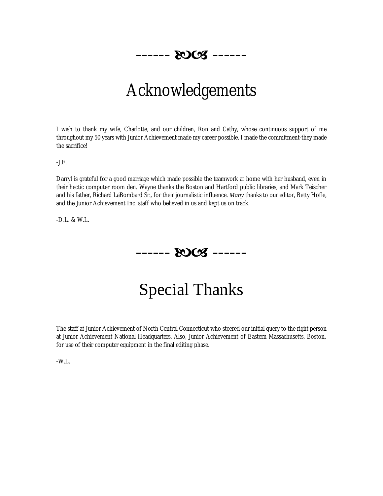

## Acknowledgements

I wish to thank my wife, Charlotte, and our children, Ron and Cathy, whose continuous support of me throughout my 50 years with Junior Achievement made my career possible. I made the commitment-they made the sacrifice!

-J.F.

Darryl is grateful for a good marriage which made possible the teamwork at home with her husband, even in their hectic computer room den. Wayne thanks the Boston and Hartford public libraries, and Mark Teischer and his father, Richard LaBombard Sr., for their journalistic influence. *Many* thanks to our editor, Betty Hofle, and the Junior Achievement Inc. staff who believed in us and kept us on track.

-D.L. & W.L.



Special Thanks

The staff at Junior Achievement of North Central Connecticut who steered our initial query to the right person at Junior Achievement National Headquarters. Also, Junior Achievement of Eastern Massachusetts, Boston, for use of their computer equipment in the final editing phase.

-W.L.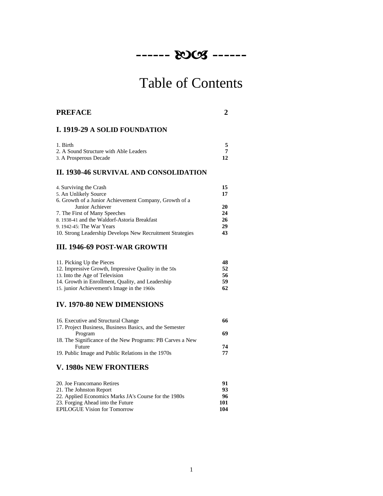

# Table of Contents

| <b>PREFACE</b>                                            |                |
|-----------------------------------------------------------|----------------|
| I. 1919-29 A SOLID FOUNDATION                             |                |
| 1. Birth                                                  | 5              |
| 2. A Sound Structure with Able Leaders                    | $\overline{7}$ |
| 3. A Prosperous Decade                                    | 12             |
| II. 1930-46 SURVIVAL AND CONSOLIDATION                    |                |
| 4. Surviving the Crash                                    | 15             |
| 5. An Unlikely Source                                     | 17             |
| 6. Growth of a Junior Achievement Company, Growth of a    |                |
| Junior Achiever                                           | 20             |
| 7. The First of Many Speeches                             | 24             |
| 8. 1938-41 and the Waldorf-Astoria Breakfast              | 26             |
| 9. 1942-45: The War Years                                 | 29             |
| 10. Strong Leadership Develops New Recruitment Strategies | 43             |

#### **III. 1946-69 POST-WAR GROWTH**

| 11. Picking Up the Pieces                            | 48 |
|------------------------------------------------------|----|
| 12. Impressive Growth, Impressive Quality in the 50s | 52 |
| 13. Into the Age of Television                       | 56 |
| 14. Growth in Enrollment, Quality, and Leadership    | 59 |
| 15. junior Achievement's Image in the 1960s          | 62 |

#### **IV. 1970-80 NEW DIMENSIONS**

| 16. Executive and Structural Change                       | 66 |
|-----------------------------------------------------------|----|
| 17. Project Business, Business Basics, and the Semester   |    |
| Program                                                   | 69 |
| 18. The Significance of the New Programs: PB Carves a New |    |
| Future                                                    | 74 |
| 19. Public Image and Public Relations in the 1970s        | 77 |
|                                                           |    |

#### **V. 1980s NEW FRONTIERS**

| 91  |
|-----|
| 93  |
| 96  |
| 101 |
| 104 |
|     |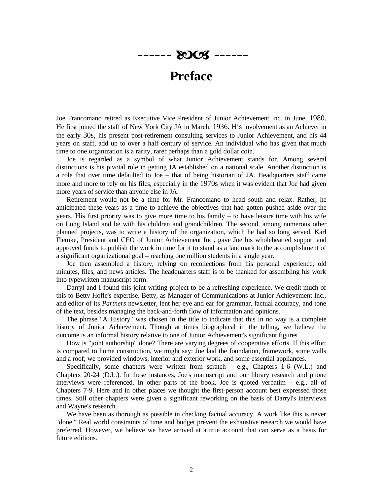$$
\cdots \cdots \mathbf{20} \mathbf{C5} \cdots
$$

#### **Preface**

Joe Francomano retired as Executive Vice President of Junior Achievement Inc. in June, 1980. He first joined the staff of New York City JA in March, 1936. His involvement as an Achiever in the early 30s, his present post-retirement consulting services to Junior Achievement, and his 44 years on staff, add up to over a half century of service. An individual who has given that much time to one organization is a rarity, rarer perhaps than a gold dollar coin.

Joe is regarded as a symbol of what Junior Achievement stands for. Among several distinctions is his pivotal role in getting JA established on a national scale. Another distinction is a role that over time defaulted to Joe – that of being historian of JA. Headquarters staff came more and more to rely on his files, especially in the 1970s when it was evident that Joe had given more years of service than anyone else in JA.

Retirement would not be a time for Mr. Francomano to head south and relax. Rather, he anticipated these years as a time to achieve the objectives that had gotten pushed aside over the years. His first priority was to give more time to his family – to have leisure time with his wife on Long Island and be with his children and grandchildren. The second, among numerous other planned projects, was to write a history of the organization, which he had so long served. Karl Flemke, President and CEO of Junior Achievement Inc., gave Joe his wholehearted support and approved funds to publish the work in time for it to stand as a landmark to the accomplishment of a significant organizational goal – reaching one million students in a single year.

Joe then assembled a history, relying on recollections from his personal experience, old minutes, files, and news articles. The headquarters staff is to be thanked for assembling his work into typewritten manuscript form.

Darryl and I found this joint writing project to be a refreshing experience. We credit much of this to Betty Hofle's expertise. Betty, as Manager of Communications at Junior Achievement Inc., and editor of its *Partners* newsletter, lent her eye and ear for grammar, factual accuracy, and tone of the text, besides managing the back-and-forth flow of information and opinions.

The phrase "A History" was chosen in the title to indicate that this in no way is a complete history of Junior Achievement. Though at times biographical in the telling, we believe the outcome is an informal history relative to one of Junior Achievement's significant figures.

How is "joint authorship" done? There are varying degrees of cooperative efforts. If this effort is compared to home construction, we might say: Joe laid the foundation, framework, some walls and a roof; we provided windows, interior and exterior work, and some essential appliances.

Specifically, some chapters were written from scratch  $-$  e.g., Chapters 1-6 (W.L.) and Chapters 20-24 (D.L.). In these instances, Joe's manuscript and our library research and phone interviews were referenced. In other parts of the book, Joe is quoted verbatim – e.g., all of Chapters 7-9. Here and in other places we thought the first-person account best expressed those times. Still other chapters were given a significant reworking on the basis of Darryl's interviews and Wayne's research.

We have been as thorough as possible in checking factual accuracy. A work like this is never "done." Real world constraints of time and budget prevent the exhaustive research we would have preferred. However, we believe we have arrived at a true account that can serve as a basis for future editions.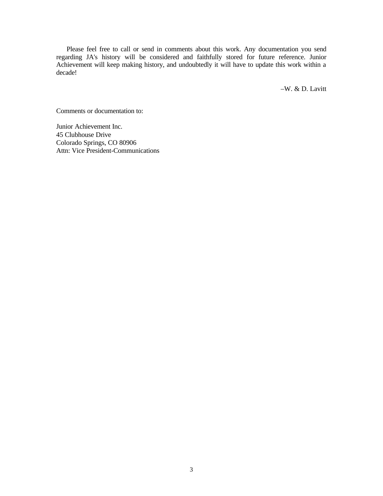Please feel free to call or send in comments about this work. Any documentation you send regarding JA's history will be considered and faithfully stored for future reference. Junior Achievement will keep making history, and undoubtedly it will have to update this work within a decade!

–W. & D. Lavitt

Comments or documentation to:

Junior Achievement Inc. 45 Clubhouse Drive Colorado Springs, CO 80906 Attn: Vice President-Communications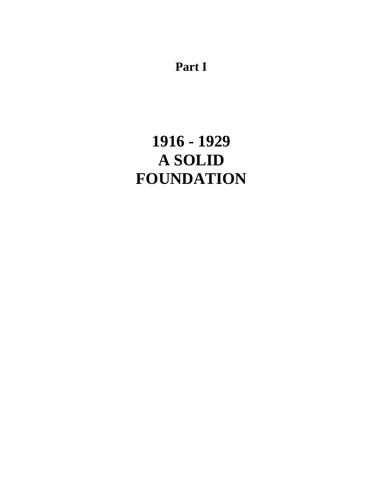**Part I**

## **1916 - 1929 A SOLID FOUNDATION**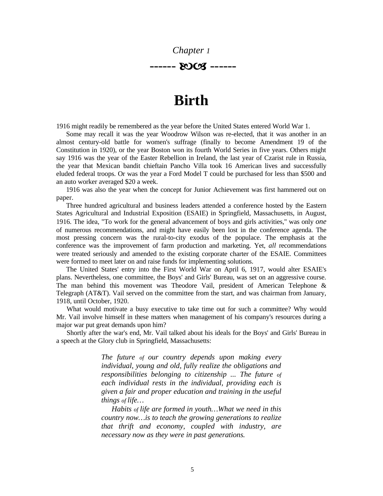#### *Chapter 1* ----- 2003 ------

### **Birth**

1916 might readily be remembered as the year before the United States entered World War 1.

Some may recall it was the year Woodrow Wilson was re-elected, that it was another in an almost century-old battle for women's suffrage (finally to become Amendment 19 of the Constitution in 1920), or the year Boston won its fourth World Series in five years. Others might say 1916 was the year of the Easter Rebellion in Ireland, the last year of Czarist rule in Russia, the year that Mexican bandit chieftain Pancho Villa took 16 American lives and successfully eluded federal troops. Or was the year a Ford Model T could be purchased for less than \$500 and an auto worker averaged \$20 a week.

1916 was also the year when the concept for Junior Achievement was first hammered out on paper.

Three hundred agricultural and business leaders attended a conference hosted by the Eastern States Agricultural and Industrial Exposition (ESAIE) in Springfield, Massachusetts, in August, 1916. The idea, "To work for the general advancement of boys and girls activities," was only *one*  of numerous recommendations, and might have easily been lost in the conference agenda. The most pressing concern was the rural-to-city exodus of the populace. The emphasis at the conference was the improvement of farm production and marketing. Yet, *all* recommendations were treated seriously and amended to the existing corporate charter of the ESAIE. Committees were formed to meet later on and raise funds for implementing solutions.

The United States' entry into the First World War on April 6, 1917, would alter ESAIE's plans. Nevertheless, one committee, the Boys' and Girls' Bureau, was set on an aggressive course. The man behind this movement was Theodore Vail, president of American Telephone & Telegraph (AT&T). Vail served on the committee from the start, and was chairman from January, 1918, until October, 1920.

What would motivate a busy executive to take time out for such a committee? Why would Mr. Vail involve himself in these matters when management of his company's resources during a major war put great demands upon him?

Shortly after the war's end, Mr. Vail talked about his ideals for the Boys' and Girls' Bureau in a speech at the Glory club in Springfield, Massachusetts:

> *The future of our country depends upon making every individual, young and old, fully realize the obligations and responsibilities belonging to citizenship ... The future of each individual rests in the individual, providing each is given a fair and proper education and training in the useful things of life…*

> *Habits of life are formed in youth…What we need in this country now…is to teach the growing generations to realize that thrift and economy, coupled with industry, are necessary now as they were in past generations.*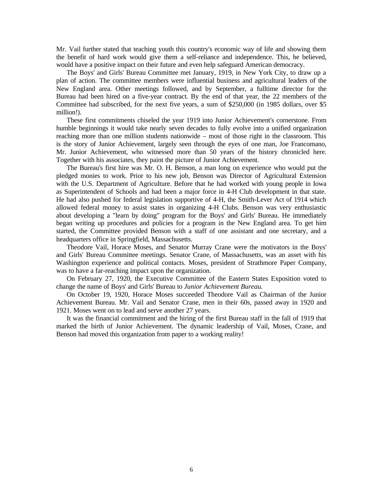Mr. Vail further stated that teaching youth this country's economic way of life and showing them the benefit of hard work would give them a self-reliance and independence. This, he believed, would have a positive impact on their future and even help safeguard American democracy.

The Boys' and Girls' Bureau Committee met January, 1919, in New York City, to draw up a plan of action. The committee members were influential business and agricultural leaders of the New England area. Other meetings followed, and by September, a fulltime director for the Bureau had been hired on a five-year contract. By the end of that year, the 22 members of the Committee had subscribed, for the next five years, a sum of \$250,000 (in 1985 dollars, over \$5 million!).

These first commitments chiseled the year 1919 into Junior Achievement's cornerstone. From humble beginnings it would take nearly seven decades to fully evolve into a unified organization reaching more than one million students nationwide – most of those right in the classroom. This is the story of Junior Achievement, largely seen through the eyes of one man, Joe Francomano, Mr. Junior Achievement, who witnessed more than 50 years of the history chronicled here. Together with his associates, they paint the picture of Junior Achievement.

The Bureau's first hire was Mr. O. H. Benson, a man long on experience who would put the pledged monies to work. Prior to his new job, Benson was Director of Agricultural Extension with the U.S. Department of Agriculture. Before that he had worked with young people in Iowa as Superintendent of Schools and had been a major force in 4-H Club development in that state. He had also pushed for federal legislation supportive of 4-H, the Smith-Lever Act of 1914 which allowed federal money to assist states in organizing 4-H Clubs. Benson was very enthusiastic about developing a "learn by doing" program for the Boys' and Girls' Bureau. He immediately began writing up procedures and policies for a program in the New England area. To get him started, the Committee provided Benson with a staff of one assistant and one secretary, and a headquarters office in Springfield, Massachusetts.

Theodore Vail, Horace Moses, and Senator Murray Crane were the motivators in the Boys' and Girls' Bureau Committee meetings. Senator Crane, of Massachusetts, was an asset with his Washington experience and political contacts. Moses, president of Strathmore Paper Company, was to have a far-reaching impact upon the organization.

On February 27, 1920, the Executive Committee of the Eastern States Exposition voted to change the name of Boys' and Girls' Bureau to *Junior Achievement Bureau.*

On October 19, 1920, Horace Moses succeeded Theodore Vail as Chairman of the Junior Achievement Bureau. Mr. Vail and Senator Crane, men in their 60s, passed away in 1920 and 1921. Moses went on to lead and serve another 27 years.

It was the financial commitment and the hiring of the first Bureau staff in the fall of 1919 that marked the birth of Junior Achievement. The dynamic leadership of Vail, Moses, Crane, and Benson had moved this organization from paper to a working reality!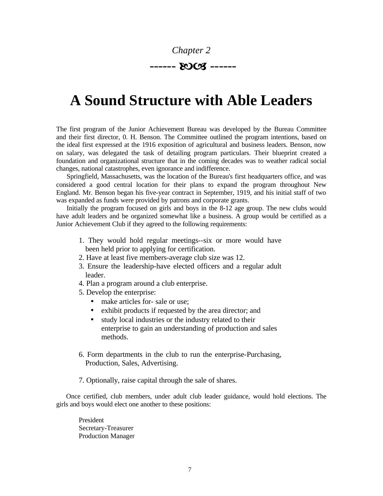

## **A Sound Structure with Able Leaders**

The first program of the Junior Achievement Bureau was developed by the Bureau Committee and their first director, 0. H. Benson. The Committee outlined the program intentions, based on the ideal first expressed at the 1916 exposition of agricultural and business leaders. Benson, now on salary, was delegated the task of detailing program particulars. Their blueprint created a foundation and organizational structure that in the coming decades was to weather radical social changes, national catastrophes, even ignorance and indifference.

Springfield, Massachusetts, was the location of the Bureau's first headquarters office, and was considered a good central location for their plans to expand the program throughout New England. Mr. Benson began his five-year contract in September, 1919, and his initial staff of two was expanded as funds were provided by patrons and corporate grants.

Initially the program focused on girls and boys in the 8-12 age group. The new clubs would have adult leaders and be organized somewhat like a business. A group would be certified as a Junior Achievement Club if they agreed to the following requirements:

- 1. They would hold regular meetings--six or more would have been held prior to applying for certification.
- 2. Have at least five members-average club size was 12.
- 3. Ensure the leadership-have elected officers and a regular adult leader.
- 4. Plan a program around a club enterprise.
- 5. Develop the enterprise:
	- make articles for-sale or use;
	- exhibit products if requested by the area director; and
	- study local industries or the industry related to their enterprise to gain an understanding of production and sales methods.
- 6. Form departments in the club to run the enterprise-Purchasing, Production, Sales, Advertising.
- 7. Optionally, raise capital through the sale of shares.

Once certified, club members, under adult club leader guidance, would hold elections. The girls and boys would elect one another to these positions:

President Secretary-Treasurer Production Manager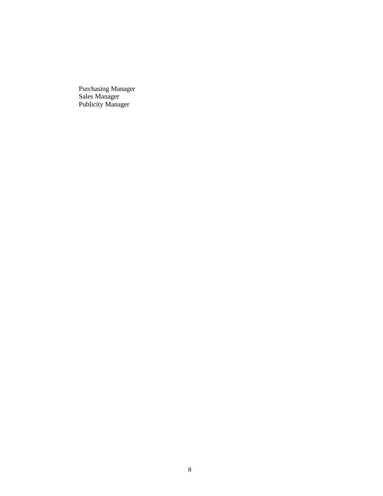Purchasing Manager Sales Manager Publicity Manager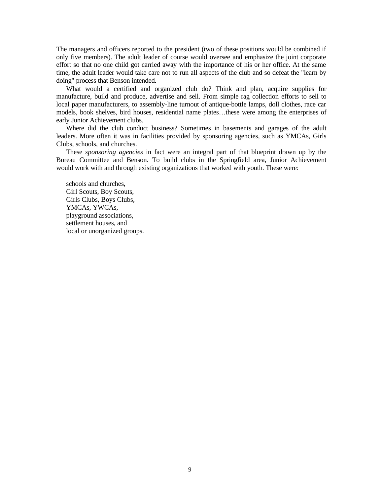The managers and officers reported to the president (two of these positions would be combined if only five members). The adult leader of course would oversee and emphasize the joint corporate effort so that no one child got carried away with the importance of his or her office. At the same time, the adult leader would take care not to run all aspects of the club and so defeat the "learn by doing" process that Benson intended.

What would a certified and organized club do? Think and plan, acquire supplies for manufacture, build and produce, advertise and sell. From simple rag collection efforts to sell to local paper manufacturers, to assembly-line turnout of antique-bottle lamps, doll clothes, race car models, book shelves, bird houses, residential name plates…these were among the enterprises of early Junior Achievement clubs.

Where did the club conduct business? Sometimes in basements and garages of the adult leaders. More often it was in facilities provided by sponsoring agencies, such as YMCAs, Girls Clubs, schools, and churches.

These *sponsoring agencies* in fact were an integral part of that blueprint drawn up by the Bureau Committee and Benson. To build clubs in the Springfield area, Junior Achievement would work with and through existing organizations that worked with youth. These were:

schools and churches, Girl Scouts, Boy Scouts, Girls Clubs, Boys Clubs, YMCAs, YWCAs, playground associations, settlement houses, and local or unorganized groups.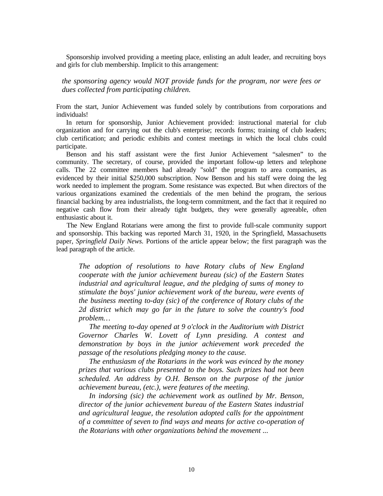Sponsorship involved providing a meeting place, enlisting an adult leader, and recruiting boys and girls for club membership. Implicit to this arrangement:

*the sponsoring agency would NOT provide funds for the program, nor were fees or dues collected from participating children.*

From the start, Junior Achievement was funded solely by contributions from corporations and individuals!

In return for sponsorship, Junior Achievement provided: instructional material for club organization and for carrying out the club's enterprise; records forms; training of club leaders; club certification; and periodic exhibits and contest meetings in which the local clubs could participate.

Benson and his staff assistant were the first Junior Achievement "salesmen" to the community. The secretary, of course, provided the important follow-up letters and telephone calls. The 22 committee members had already "sold" the program to area companies, as evidenced by their initial \$250,000 subscription. Now Benson and his staff were doing the leg work needed to implement the program. Some resistance was expected. But when directors of the various organizations examined the credentials of the men behind the program, the serious financial backing by area industrialists, the long-term commitment, and the fact that it required no negative cash flow from their already tight budgets, they were generally agreeable, often enthusiastic about it.

The New England Rotarians were among the first to provide full-scale community support and sponsorship. This backing was reported March 31, 1920, in the Springfield, Massachusetts paper, *Springfield Daily News.* Portions of the article appear below; the first paragraph was the lead paragraph of the article.

*The adoption of resolutions to have Rotary clubs of New England cooperate with the junior achievement bureau (sic) of the Eastern States industrial and agricultural league, and the pledging of sums of money to stimulate the boys' junior achievement work of the bureau, were events of the business meeting to-day (sic) of the conference of Rotary clubs of the 2d district which may go far in the future to solve the country's food problem…*

*The meeting to-day opened at 9 o'clock in the Auditorium with District Governor Charles W. Lovett of Lynn presiding. A contest and demonstration by boys in the junior achievement work preceded the passage of the resolutions pledging money to the cause.*

*The enthusiasm of the Rotarians in the work was evinced by the money prizes that various clubs presented to the boys. Such prizes had not been scheduled. An address by O.H. Benson on the purpose of the junior achievement bureau, (etc.), were features of the meeting.*

*In indorsing (sic) the achievement work as outlined by Mr. Benson, director of the junior achievement bureau of the Eastern States industrial and agricultural league, the resolution adopted calls for the appointment of a committee of seven to find ways and means for active co-operation of the Rotarians with other organizations behind the movement ...*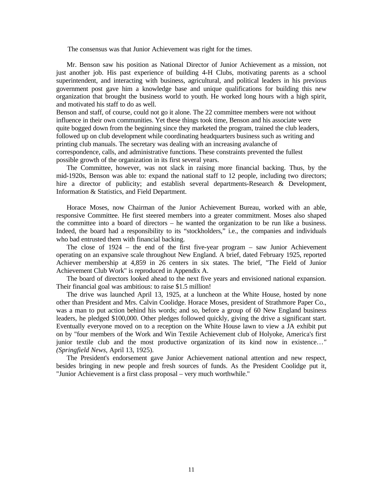The consensus was that Junior Achievement was right for the times.

Mr. Benson saw his position as National Director of Junior Achievement as a mission, not just another job. His past experience of building 4-H Clubs, motivating parents as a school superintendent, and interacting with business, agricultural, and political leaders in his previous government post gave him a knowledge base and unique qualifications for building this new organization that brought the business world to youth. He worked long hours with a high spirit, and motivated his staff to do as well.

Benson and staff, of course, could not go it alone. The 22 committee members were not without influence in their own communities. Yet these things took time, Benson and his associate were quite bogged down from the beginning since they marketed the program, trained the club leaders, followed up on club development while coordinating headquarters business such as writing and printing club manuals. The secretary was dealing with an increasing avalanche of correspondence, calls, and administrative functions. These constraints prevented the fullest possible growth of the organization in its first several years.

The Committee, however, was not slack in raising more financial backing. Thus, by the mid-1920s, Benson was able to: expand the national staff to 12 people, including two directors; hire a director of publicity; and establish several departments-Research & Development, Information & Statistics, and Field Department.

Horace Moses, now Chairman of the Junior Achievement Bureau, worked with an able, responsive Committee. He first steered members into a greater commitment. Moses also shaped the committee into a board of directors – he wanted the organization to be run like a business. Indeed, the board had a responsibility to its "stockholders," i.e., the companies and individuals who bad entrusted them with financial backing.

The close of 1924 – the end of the first five-year program – saw Junior Achievement operating on an expansive scale throughout New England. A brief, dated February 1925, reported Achiever membership at 4,859 in 26 centers in six states. The brief, "The Field of Junior Achievement Club Work" is reproduced in Appendix A.

The board of directors looked ahead to the next five years and envisioned national expansion. Their financial goal was ambitious: to raise \$1.5 million!

The drive was launched April 13, 1925, at a luncheon at the White House, hosted by none other than President and Mrs. Calvin Coolidge. Horace Moses, president of Strathmore Paper Co., was a man to put action behind his words; and so, before a group of 60 New England business leaders, he pledged \$100,000. Other pledges followed quickly, giving the drive a significant start. Eventually everyone moved on to a reception on the White House lawn to view a JA exhibit put on by "four members of the Work and Win Textile Achievement club of Holyoke, America's first junior textile club and the most productive organization of its kind now in existence…*" (Springfield News,* April 13, 1925).

The President's endorsement gave Junior Achievement national attention and new respect, besides bringing in new people and fresh sources of funds. As the President Coolidge put it, "Junior Achievement is a first class proposal – very much worthwhile."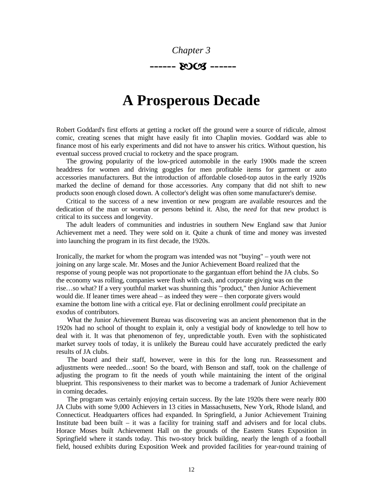

### **A Prosperous Decade**

Robert Goddard's first efforts at getting a rocket off the ground were a source of ridicule, almost comic, creating scenes that might have easily fit into Chaplin movies. Goddard was able to finance most of his early experiments and did not have to answer his critics. Without question, his eventual success proved crucial to rocketry and the space program.

The growing popularity of the low-priced automobile in the early 1900s made the screen headdress for women and driving goggles for men profitable items for garment or auto accessories manufacturers. But the introduction of affordable closed-top autos in the early 1920s marked the decline of demand for those accessories. Any company that did not shift to new products soon enough closed down. A collector's delight was often some manufacturer's demise.

Critical to the success of a new invention or new program are available resources and the dedication of the man or woman or persons behind it. Also, the *need* for that new product is critical to its success and longevity.

The adult leaders of communities and industries in southern New England saw that Junior Achievement met a need. They were sold on it. Quite a chunk of time and money was invested into launching the program in its first decade, the 1920s.

Ironically, the market for whom the program was intended was not "buying" – youth were not joining on any large scale. Mr. Moses and the Junior Achievement Board realized that the response of young people was not proportionate to the gargantuan effort behind the JA clubs. So the economy was rolling, companies were flush with cash, and corporate giving was on the rise…so what? If a very youthful market was shunning this "product," then Junior Achievement would die. If leaner times were ahead – as indeed they were – then corporate givers would examine the bottom line with a critical eye. Flat or declining enrollment *could* precipitate an exodus of contributors.

What the Junior Achievement Bureau was discovering was an ancient phenomenon that in the 1920s had no school of thought to explain it, only a vestigial body of knowledge to tell how to deal with it. It was that phenomenon of fey, unpredictable youth. Even with the sophisticated market survey tools of today, it is unlikely the Bureau could have accurately predicted the early results of JA clubs.

The board and their staff, however, were in this for the long run. Reassessment and adjustments were needed…soon! So the board, with Benson and staff, took on the challenge of adjusting the program to fit the needs of youth while maintaining the intent of the original blueprint. This responsiveness to their market was to become a trademark of Junior Achievement in coming decades.

The program was certainly enjoying certain success. By the late 1920s there were nearly 800 JA Clubs with some 9,000 Achievers in 13 cities in Massachusetts, New York, Rhode Island, and Connecticut. Headquarters offices had expanded. In Springfield, a Junior Achievement Training Institute bad been built – it was a facility for training staff and advisers and for local clubs. Horace Moses built Achievement Hall on the grounds of the Eastern States Exposition in Springfield where it stands today. This two-story brick building, nearly the length of a football field, housed exhibits during Exposition Week and provided facilities for year-round training of